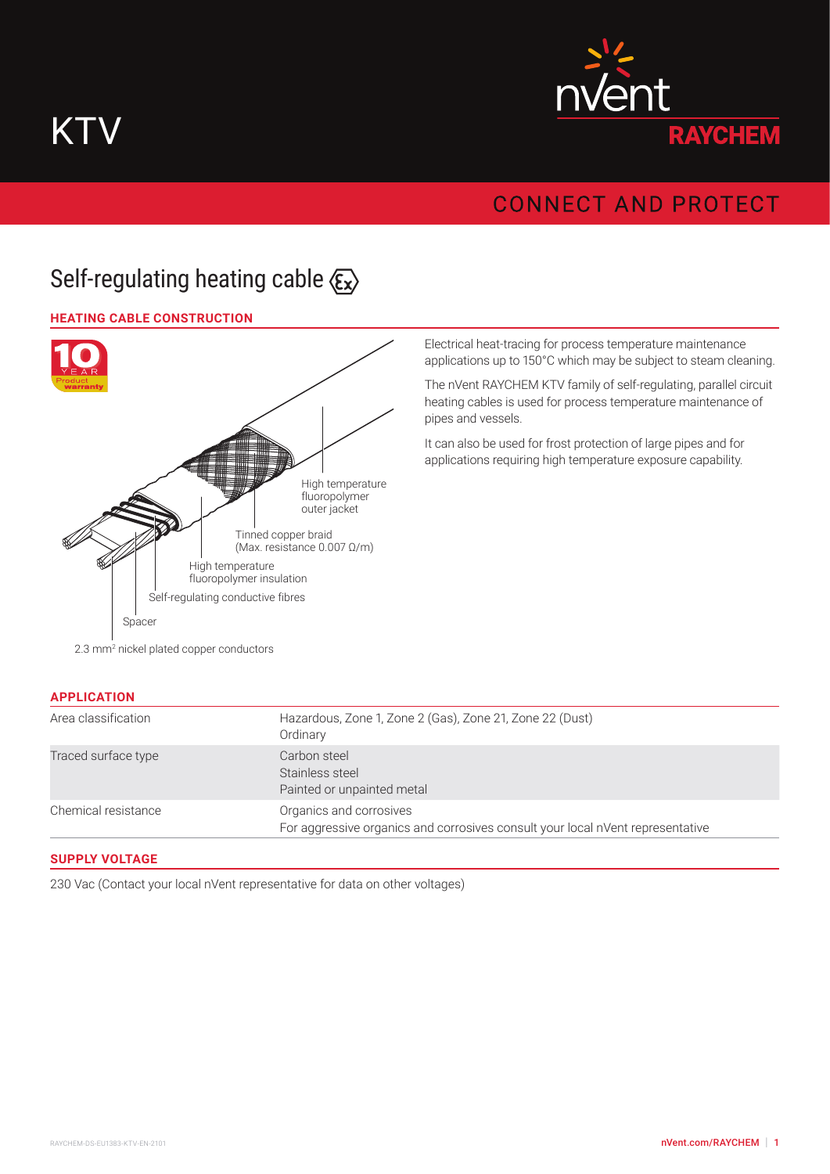



# **CONNECT AND PROTECT**

# Self-regulating heating cable  $\langle \xi_x \rangle$

#### **HEATING CABLE CONSTRUCTION**



Electrical heat-tracing for process temperature maintenance applications up to 150°C which may be subject to steam cleaning.

The nVent RAYCHEM KTV family of self-regulating, parallel circuit heating cables is used for process temperature maintenance of pipes and vessels.

It can also be used for frost protection of large pipes and for applications requiring high temperature exposure capability.

2.3 mm<sup>2</sup> nickel plated copper conductors

| <b>APPLICATION</b>  |                                                                                                           |
|---------------------|-----------------------------------------------------------------------------------------------------------|
| Area classification | Hazardous, Zone 1, Zone 2 (Gas), Zone 21, Zone 22 (Dust)<br>Ordinary                                      |
| Traced surface type | Carbon steel<br>Stainless steel<br>Painted or unpainted metal                                             |
| Chemical resistance | Organics and corrosives<br>For aggressive organics and corrosives consult your local nVent representative |

#### **SUPPLY VOLTAGE**

230 Vac (Contact your local nVent representative for data on other voltages)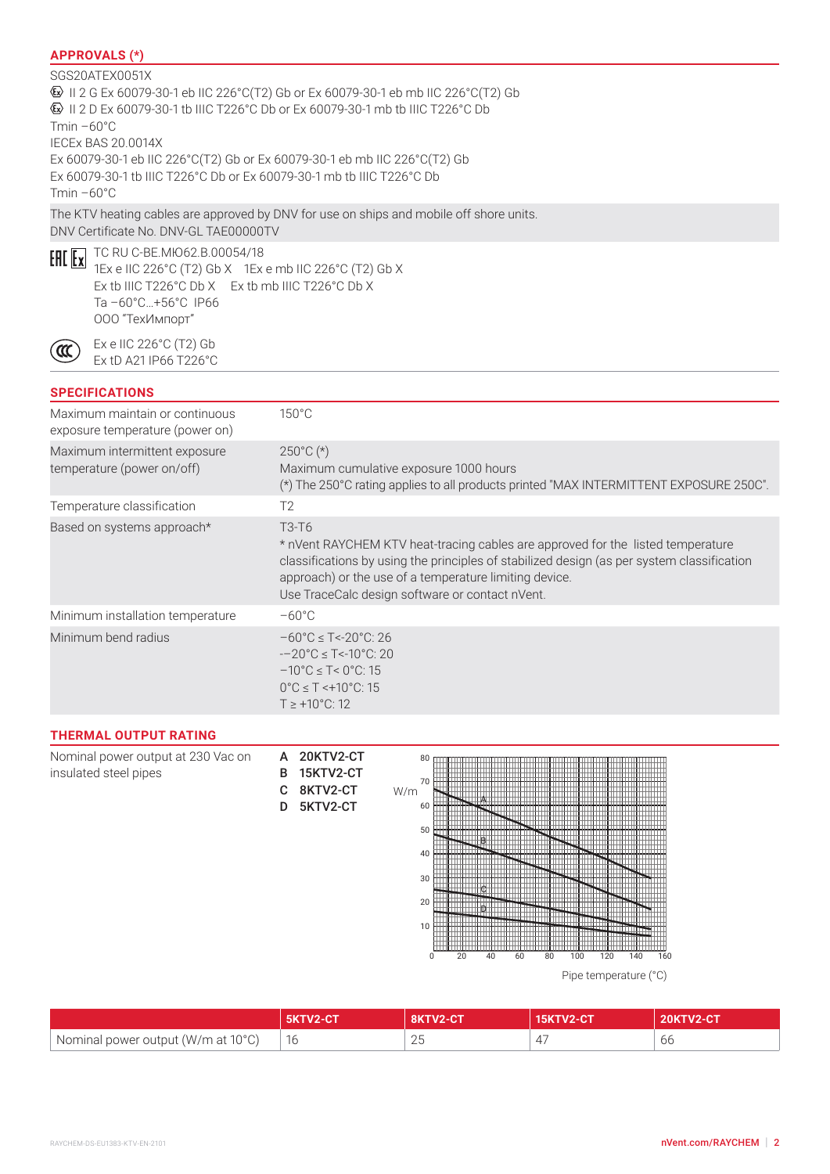### **APPROVALS (\*)**

#### SGS20ATEX0051X II 2 G Ex 60079-30-1 eb IIC 226°C(T2) Gb or Ex 60079-30-1 eb mb IIC 226°C(T2) Gb II 2 D Ex 60079-30-1 tb IIIC T226°C Db or Ex 60079-30-1 mb tb IIIC T226°C Db  $Tmin -60°C$ IECEx BAS 20.0014X Ex 60079-30-1 eb IIC 226°C(T2) Gb or Ex 60079-30-1 eb mb IIC 226°C(T2) Gb Ex 60079-30-1 tb IIIC T226°C Db or Ex 60079-30-1 mb tb IIIC T226°C Db  $Tmin -60°C$ The KTV heating cables are approved by DNV for use on ships and mobile off shore units.

DNV Certificate No. DNV-GL TAE00000TV



ัα

ТС RU C-BE.МЮ62.В.00054/18 1Ex e IIC 226°C (T2) Gb X 1Ex e mb IIC 226°C (T2) Gb X Ex tb IIIC T226°C Db X Ex tb mb IIIC T226°C Db X Ta –60°C…+56°C IP66 ООО "ТехИмпорт"

Ex e IIC 226°C (T2) Gb Ex tD A21 IP66 T226°C

## **SPECIFICATIONS**

| Maximum maintain or continuous<br>exposure temperature (power on) | $150^{\circ}$ C                                                                                                                                                                                                                                                                                                              |
|-------------------------------------------------------------------|------------------------------------------------------------------------------------------------------------------------------------------------------------------------------------------------------------------------------------------------------------------------------------------------------------------------------|
| Maximum intermittent exposure<br>temperature (power on/off)       | $250^{\circ}$ C (*)<br>Maximum cumulative exposure 1000 hours<br>(*) The 250°C rating applies to all products printed "MAX INTERMITTENT EXPOSURE 250C".                                                                                                                                                                      |
| Temperature classification                                        | T2                                                                                                                                                                                                                                                                                                                           |
| Based on systems approach*                                        | T <sub>3</sub> -T <sub>6</sub><br>* nVent RAYCHEM KTV heat-tracing cables are approved for the listed temperature<br>classifications by using the principles of stabilized design (as per system classification<br>approach) or the use of a temperature limiting device.<br>Use TraceCalc design software or contact nVent. |
| Minimum installation temperature                                  | $-60^{\circ}$ C                                                                                                                                                                                                                                                                                                              |
| Minimum bend radius                                               | $-60^{\circ}$ C $\leq$ T<-20 $^{\circ}$ C: 26<br>$-20^{\circ}$ C $\leq$ T<-10°C: 20<br>$-10^{\circ}$ C $\leq$ T $\leq$ 0°C: 15<br>$0^{\circ}$ C $\leq$ T $\leq$ +10 $^{\circ}$ C: 15<br>$T \ge +10^{\circ}$ C: 12                                                                                                            |

20KTV2-CT 15KTV2-CT 8KTV2-CT D 5KTV2-CT

#### **THERMAL OUTPUT RATING**

| Nominal power output at 230 Vac on | А |
|------------------------------------|---|
| insulated steel pipes              | B |
|                                    | C |



Pipe temperature (°C)

|                                    |    |                       |   | $IV2$ -CT |
|------------------------------------|----|-----------------------|---|-----------|
| Nominal power output (W/m at 10°C) | 16 | $\cap$ $\sqcap$<br>∠∪ | 4 | ∪∪        |